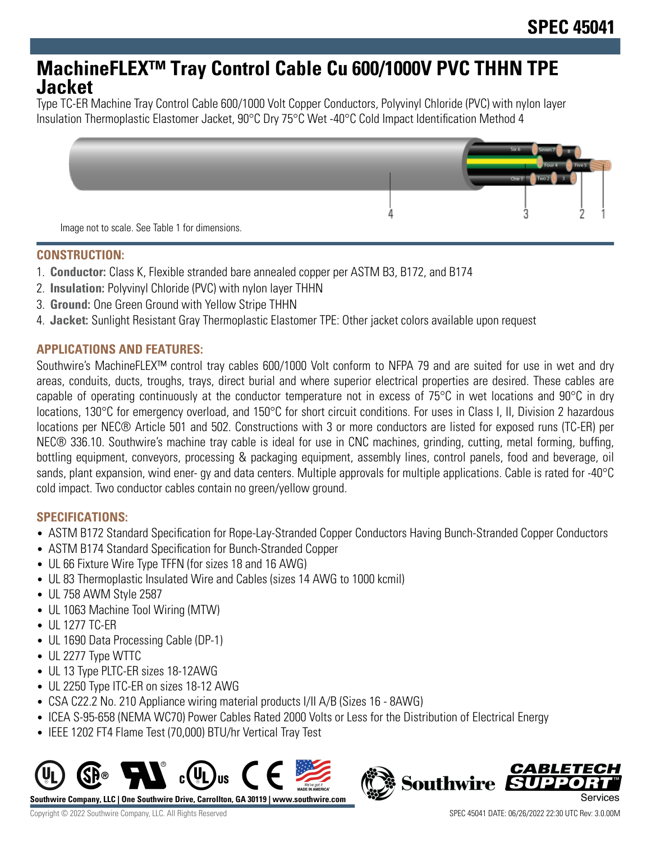## **MachineFLEX™ Tray Control Cable Cu 600/1000V PVC THHN TPE Jacket**

Type TC-ER Machine Tray Control Cable 600/1000 Volt Copper Conductors, Polyvinyl Chloride (PVC) with nylon layer Insulation Thermoplastic Elastomer Jacket, 90°C Dry 75°C Wet -40°C Cold Impact Identification Method 4



#### **CONSTRUCTION:**

- 1. **Conductor:** Class K, Flexible stranded bare annealed copper per ASTM B3, B172, and B174
- 2. **Insulation:** Polyvinyl Chloride (PVC) with nylon layer THHN
- 3. **Ground:** One Green Ground with Yellow Stripe THHN
- 4. **Jacket:** Sunlight Resistant Gray Thermoplastic Elastomer TPE: Other jacket colors available upon request

#### **APPLICATIONS AND FEATURES:**

Southwire's MachineFLEX™ control tray cables 600/1000 Volt conform to NFPA 79 and are suited for use in wet and dry areas, conduits, ducts, troughs, trays, direct burial and where superior electrical properties are desired. These cables are capable of operating continuously at the conductor temperature not in excess of 75°C in wet locations and 90°C in dry locations, 130°C for emergency overload, and 150°C for short circuit conditions. For uses in Class I, II, Division 2 hazardous locations per NEC® Article 501 and 502. Constructions with 3 or more conductors are listed for exposed runs (TC-ER) per NEC® 336.10. Southwire's machine tray cable is ideal for use in CNC machines, grinding, cutting, metal forming, buffing, bottling equipment, conveyors, processing & packaging equipment, assembly lines, control panels, food and beverage, oil sands, plant expansion, wind ener- gy and data centers. Multiple approvals for multiple applications. Cable is rated for -40°C cold impact. Two conductor cables contain no green/yellow ground.

#### **SPECIFICATIONS:**

- ASTM B172 Standard Specification for Rope-Lay-Stranded Copper Conductors Having Bunch-Stranded Copper Conductors
- ASTM B174 Standard Specification for Bunch-Stranded Copper
- UL 66 Fixture Wire Type TFFN (for sizes 18 and 16 AWG)
- UL 83 Thermoplastic Insulated Wire and Cables (sizes 14 AWG to 1000 kcmil)
- UL 758 AWM Style 2587
- UL 1063 Machine Tool Wiring (MTW)
- UL 1277 TC-ER
- UL 1690 Data Processing Cable (DP-1)
- UL 2277 Type WTTC
- UL 13 Type PLTC-ER sizes 18-12AWG
- UL 2250 Type ITC-ER on sizes 18-12 AWG
- CSA C22.2 No. 210 Appliance wiring material products I/II A/B (Sizes 16 8AWG)
- ICEA S-95-658 (NEMA WC70) Power Cables Rated 2000 Volts or Less for the Distribution of Electrical Energy
- IEEE 1202 FT4 Flame Test (70,000) BTU/hr Vertical Tray Test



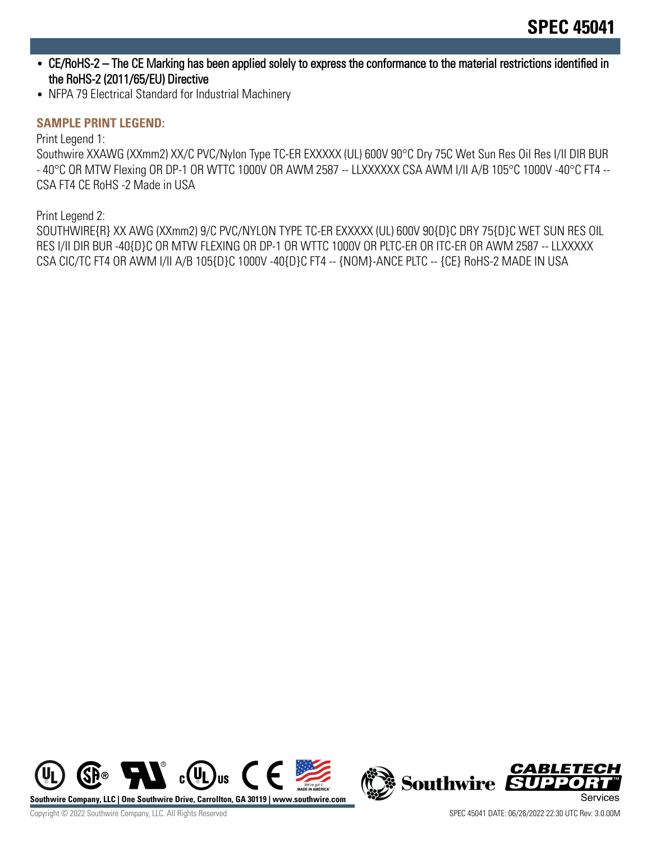- CE/RoHS-2 The CE Marking has been applied solely to express the conformance to the material restrictions identified in the RoHS-2 (2011/65/EU) Directive
- NFPA 79 Electrical Standard for Industrial Machinery

### **SAMPLE PRINT LEGEND:**

Print Legend 1:

Southwire XXAWG (XXmm2) XX/C PVC/Nylon Type TC-ER EXXXXX (UL) 600V 90°C Dry 75C Wet Sun Res Oil Res I/II DIR BUR - 40°C OR MTW Flexing OR DP-1 OR WTTC 1000V OR AWM 2587 -- LLXXXXXX CSA AWM I/II A/B 105°C 1000V -40°C FT4 -- CSA FT4 CE RoHS -2 Made in USA

Print Legend 2:

SOUTHWIRE{R} XX AWG (XXmm2) 9/C PVC/NYLON TYPE TC-ER EXXXXX (UL) 600V 90{D}C DRY 75{D}C WET SUN RES OIL RES I/II DIR BUR -40{D}C OR MTW FLEXING OR DP-1 OR WTTC 1000V OR PLTC-ER OR ITC-ER OR AWM 2587 -- LLXXXXX CSA CIC/TC FT4 OR AWM I/II A/B 105{D}C 1000V -40{D}C FT4 -- {NOM}-ANCE PLTC -- {CE} RoHS-2 MADE IN USA



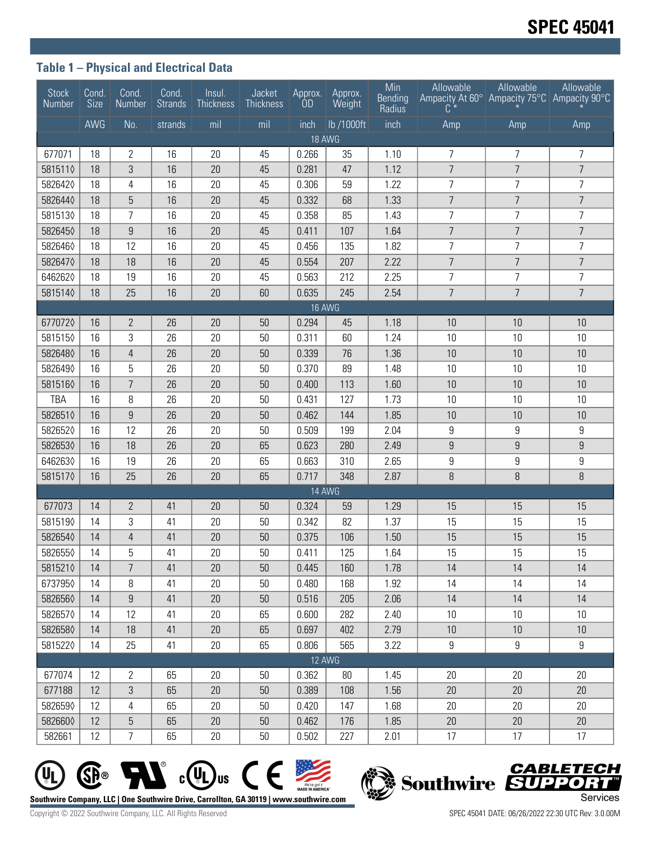### **Table 1 – Physical and Electrical Data**

| <b>Stock</b><br>Number | Cond.<br><b>Size</b> | Cond.<br>Number | Cond.<br><b>Strands</b> | Insul.<br><b>Thickness</b> | Jacket<br>Thickness | Approx.<br><b>OD</b> | Approx.<br>Weight | Min<br><b>Bending</b><br>Radius | Allowable<br>Ampacity At 60° Ampacity 75°C Ampacity 90°C<br>C | Allowable        | Allowable       |
|------------------------|----------------------|-----------------|-------------------------|----------------------------|---------------------|----------------------|-------------------|---------------------------------|---------------------------------------------------------------|------------------|-----------------|
|                        | AWG                  | No.             | strands                 | mil                        | mil                 | inch                 | lb /1000ft        | inch                            | Amp                                                           | Amp              | Amp             |
| 18 AWG                 |                      |                 |                         |                            |                     |                      |                   |                                 |                                                               |                  |                 |
| 677071                 | 18                   | 2               | 16                      | 20                         | 45                  | 0.266                | 35                | 1.10                            | 7                                                             | 7                | 7               |
| 5815110                | 18                   | 3               | 16                      | 20                         | 45                  | 0.281                | 47                | 1.12                            | $\overline{7}$                                                | $\overline{7}$   | $\overline{7}$  |
| 5826420                | 18                   | 4               | 16                      | 20                         | 45                  | 0.306                | 59                | 1.22                            | $\overline{7}$                                                | $\overline{7}$   | $\overline{7}$  |
| 5826440                | 18                   | 5               | 16                      | 20                         | 45                  | 0.332                | 68                | 1.33                            | $\overline{7}$                                                | $\overline{7}$   | $\overline{7}$  |
| 5815130                | 18                   | 7               | 16                      | 20                         | 45                  | 0.358                | 85                | 1.43                            | $\overline{7}$                                                | $\overline{7}$   | $\overline{7}$  |
| 5826450                | 18                   | 9               | 16                      | 20                         | 45                  | 0.411                | 107               | 1.64                            | $\overline{7}$                                                | $\overline{7}$   | $\overline{7}$  |
| 5826460                | 18                   | 12              | 16                      | 20                         | 45                  | 0.456                | 135               | 1.82                            | $\overline{7}$                                                | 7                | $\overline{7}$  |
| 5826470                | 18                   | 18              | 16                      | 20                         | 45                  | 0.554                | 207               | 2.22                            | $\overline{7}$                                                | $\overline{7}$   | $\overline{7}$  |
| 6462620                | 18                   | 19              | 16                      | 20                         | 45                  | 0.563                | 212               | 2.25                            | $\overline{7}$                                                | $\overline{7}$   | $\overline{7}$  |
| 5815140                | 18                   | 25              | 16                      | 20                         | 60                  | 0.635                | 245               | 2.54                            | $\overline{7}$                                                | $\overline{7}$   | $\overline{7}$  |
| <b>16 AWG</b>          |                      |                 |                         |                            |                     |                      |                   |                                 |                                                               |                  |                 |
| 6770720                | 16                   | 2               | 26                      | 20                         | 50                  | 0.294                | 45                | 1.18                            | 10                                                            | 10               | 10              |
| 5815150                | 16                   | 3               | 26                      | 20                         | 50                  | 0.311                | 60                | 1.24                            | 10                                                            | 10               | 10              |
| 5826480                | 16                   | $\overline{4}$  | 26                      | 20                         | 50                  | 0.339                | 76                | 1.36                            | 10                                                            | 10               | 10              |
| 5826490                | 16                   | 5               | 26                      | 20                         | 50                  | 0.370                | 89                | 1.48                            | 10                                                            | 10               | 10              |
| 5815160                | 16                   | $\overline{7}$  | 26                      | 20                         | 50                  | 0.400                | 113               | 1.60                            | 10                                                            | 10               | 10              |
| TBA                    | 16                   | 8               | 26                      | 20                         | 50                  | 0.431                | 127               | 1.73                            | 10                                                            | 10               | 10              |
| 5826510                | 16                   | 9               | 26                      | 20                         | 50                  | 0.462                | 144               | 1.85                            | 10                                                            | 10               | 10              |
| 5826520                | 16                   | 12              | 26                      | 20                         | 50                  | 0.509                | 199               | 2.04                            | 9                                                             | 9                | 9               |
| 5826530                | 16                   | 18              | 26                      | 20                         | 65                  | 0.623                | 280               | 2.49                            | 9                                                             | $\boldsymbol{9}$ | 9               |
| 6462630                | 16                   | 19              | 26                      | 20                         | 65                  | 0.663                | 310               | 2.65                            | 9                                                             | $\boldsymbol{9}$ | 9               |
| 5815170                | 16                   | 25              | 26                      | 20                         | 65                  | 0.717                | 348               | 2.87                            | 8                                                             | $\, 8$           | 8               |
|                        |                      |                 |                         |                            |                     |                      | 14 AWG            |                                 |                                                               |                  |                 |
| 677073                 | 14                   | $\mathbf{2}$    | 41                      | 20                         | 50                  | 0.324                | 59                | 1.29                            | 15                                                            | 15               | 15              |
| 5815190                | 14                   | 3               | 41                      | 20                         | 50                  | 0.342                | 82                | 1.37                            | 15                                                            | 15               | 15              |
| 5826540                | 14                   | $\overline{4}$  | 41                      | 20                         | 50                  | 0.375                | 106               | 1.50                            | 15                                                            | 15               | 15              |
| 5826550                | 14                   | 5               | 41                      | 20                         | 50                  | 0.411                | 125               | 1.64                            | 15                                                            | 15               | 15              |
| 5815210                | 14                   | 7               | 41                      | 20                         | 50                  | 0.445                | 160               | 1.78                            | 14                                                            | 14               | 14              |
| 6737950                | 14                   | 8               | 41                      | 20                         | 50                  | 0.480                | 168               | 1.92                            | 14                                                            | 14               | 14              |
| 5826560                | 14                   | 9               | 41                      | 20                         | 50                  | 0.516                | 205               | 2.06                            | 14                                                            | 14               | 14              |
| 5826570                | 14                   | 12              | 41                      | 20                         | 65                  | 0.600                | 282               | 2.40                            | 10                                                            | 10               | 10 <sup>°</sup> |
| 5826580                | 14                   | 18              | 41                      | 20                         | 65                  | 0.697                | 402               | 2.79                            | 10                                                            | 10               | 10 <sup>°</sup> |
| 5815220                | 14                   | 25              | 41                      | 20                         | 65                  | 0.806                | 565               | 3.22                            | 9                                                             | 9                | 9               |
| 12 AWG                 |                      |                 |                         |                            |                     |                      |                   |                                 |                                                               |                  |                 |
| 677074                 | 12                   | 2               | 65                      | 20                         | 50                  | 0.362                | 80                | 1.45                            | 20                                                            | 20               | 20              |
| 677188                 | 12                   | 3               | 65                      | 20                         | 50                  | 0.389                | 108               | 1.56                            | 20                                                            | 20               | 20              |
| 5826590                | 12                   | 4               | 65                      | 20                         | 50                  | 0.420                | 147               | 1.68                            | 20                                                            | 20               | 20              |
| 5826600                | 12                   | 5               | 65                      | 20                         | 50                  | 0.462                | 176               | 1.85                            | 20                                                            | 20               | 20              |
| 582661                 | 12                   | 7               | 65                      | 20                         | 50                  | 0.502                | 227               | 2.01                            | 17                                                            | 17               | 17              |